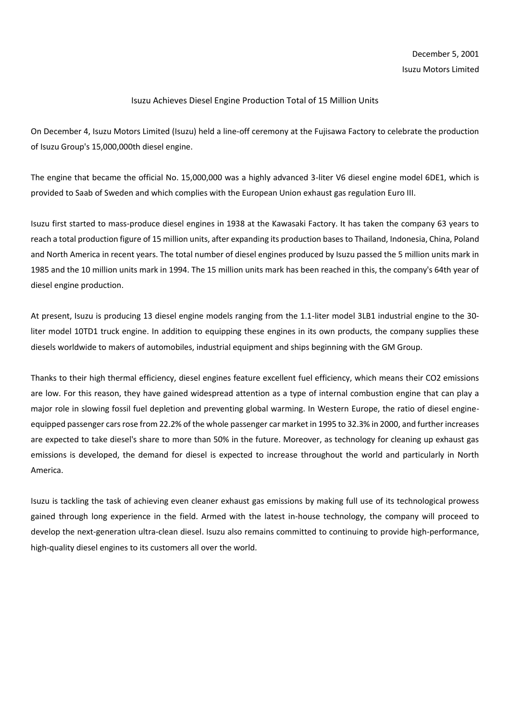## Isuzu Achieves Diesel Engine Production Total of 15 Million Units

On December 4, Isuzu Motors Limited (Isuzu) held a line-off ceremony at the Fujisawa Factory to celebrate the production of Isuzu Group's 15,000,000th diesel engine.

The engine that became the official No. 15,000,000 was a highly advanced 3-liter V6 diesel engine model 6DE1, which is provided to Saab of Sweden and which complies with the European Union exhaust gas regulation Euro III.

Isuzu first started to mass-produce diesel engines in 1938 at the Kawasaki Factory. It has taken the company 63 years to reach a total production figure of 15 million units, after expanding its production bases to Thailand, Indonesia, China, Poland and North America in recent years. The total number of diesel engines produced by Isuzu passed the 5 million units mark in 1985 and the 10 million units mark in 1994. The 15 million units mark has been reached in this, the company's 64th year of diesel engine production.

At present, Isuzu is producing 13 diesel engine models ranging from the 1.1-liter model 3LB1 industrial engine to the 30 liter model 10TD1 truck engine. In addition to equipping these engines in its own products, the company supplies these diesels worldwide to makers of automobiles, industrial equipment and ships beginning with the GM Group.

Thanks to their high thermal efficiency, diesel engines feature excellent fuel efficiency, which means their CO2 emissions are low. For this reason, they have gained widespread attention as a type of internal combustion engine that can play a major role in slowing fossil fuel depletion and preventing global warming. In Western Europe, the ratio of diesel engineequipped passenger cars rose from 22.2% of the whole passenger car market in 1995 to 32.3% in 2000, and further increases are expected to take diesel's share to more than 50% in the future. Moreover, as technology for cleaning up exhaust gas emissions is developed, the demand for diesel is expected to increase throughout the world and particularly in North America.

Isuzu is tackling the task of achieving even cleaner exhaust gas emissions by making full use of its technological prowess gained through long experience in the field. Armed with the latest in-house technology, the company will proceed to develop the next-generation ultra-clean diesel. Isuzu also remains committed to continuing to provide high-performance, high-quality diesel engines to its customers all over the world.